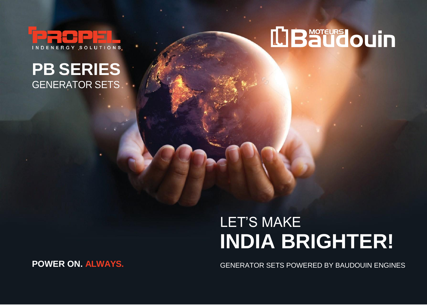

#### **PB SERIES** GENERATOR SETS

# **LIBaudouin**

### LET'S MAKE **INDIA BRIGHTER!**

GENERATOR SETS POWERED BY BAUDOUIN ENGINES

**POWER ON. ALWAYS.**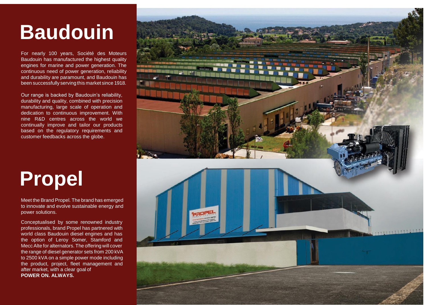## **Baudouin**

For nearly 100 years, Société des Moteurs Baudouin has manufactured the highest quality engines for marine and power generation. The continuous need of power generation, reliability and durability are paramount, and Baudouin has been successfully serving this market since 1918.

Our range is backed by Baudouin's reliability, durability and quality, combined with precision manufacturing, large scale of operation and dedication to continuous improvement. With nine R&D centres across the world we continually improve and tailor our products based on the regulatory requirements and customer feedbacks across the globe.

## **Propel**

Meet the Brand Propel. The brand has emerged to innovate and evolve sustainable energy and power solutions.

Conceptualised by some renowned industry professionals, brand Propel has partnered with world class Baudouin diesel engines and has the option of Leroy Somer, Stamford and MeccAlte for alternators. The offering will cover the range of diesel generator sets from 200 kVA to 2500 kVA on a simple power mode including the product, project, fleet management and after market, with a clear goal of **POWER ON. ALWAYS.**

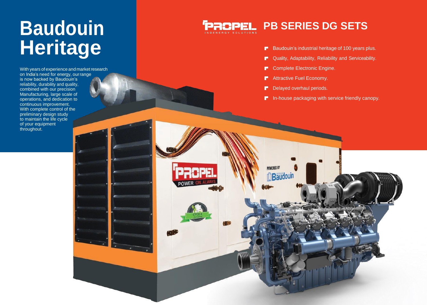# **Heritage**

With years of experience and market research on India's need for energy, ourrange is now backed by Baudouin's reliability, durability and quality, combined with our precision Manufacturing, large scale of operations, and dedication to continuous improvement. With complete control of the preliminary design study to maintain the life cycle of your equipment throughout.

#### **Baudouin PROPEL PB SERIES DG SETS**

- $B$ Baudouin's industrial heritage of 100 years plus.
- Quality, Adaptability, Reliability and Serviceability. r
- Complete Electronic Engine. æ.
- Attractive Fuel Economy. F
- Delayed overhaul periods. **F**

**POWERED BY** 

Baudouin

F In -house packaging with service friendly canopy.